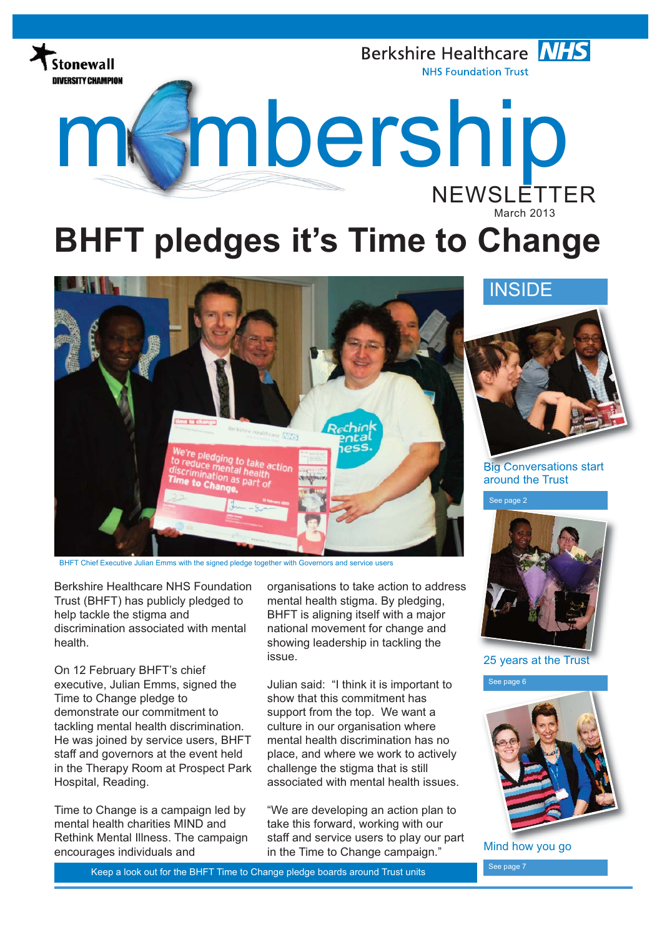tonewall **DIVERSITY CHAMPION**  Berkshire Healthcare NHS **NHS Foundation Trust** 

# **BHFT pledges it's Time to Change**

m mbership



BHFT Chief Executive Julian Emms with the signed pledge together with Governors and service users

Berkshire Healthcare NHS Foundation Trust (BHFT) has publicly pledged to help tackle the stigma and discrimination associated with mental health.

On 12 February BHFT's chief executive, Julian Emms, signed the Time to Change pledge to demonstrate our commitment to tackling mental health discrimination. He was joined by service users, BHFT staff and governors at the event held in the Therapy Room at Prospect Park Hospital, Reading.

Time to Change is a campaign led by mental health charities MIND and Rethink Mental Illness. The campaign encourages individuals and

organisations to take action to address mental health stigma. By pledging, BHFT is aligning itself with a major national movement for change and showing leadership in tackling the issue.

Julian said: "I think it is important to show that this commitment has support from the top. We want a culture in our organisation where mental health discrimination has no place, and where we work to actively challenge the stigma that is still associated with mental health issues.

"We are developing an action plan to take this forward, working with our staff and service users to play our part in the Time to Change campaign."

### **INSIDE**

March 2013

**NEWSLETTER** 



Big Conversations start around the Trust

See page 2



25 years at the Trust

See page 6



Mind how you go

Keep a look out for the BHFT Time to Change pledge boards around Trust units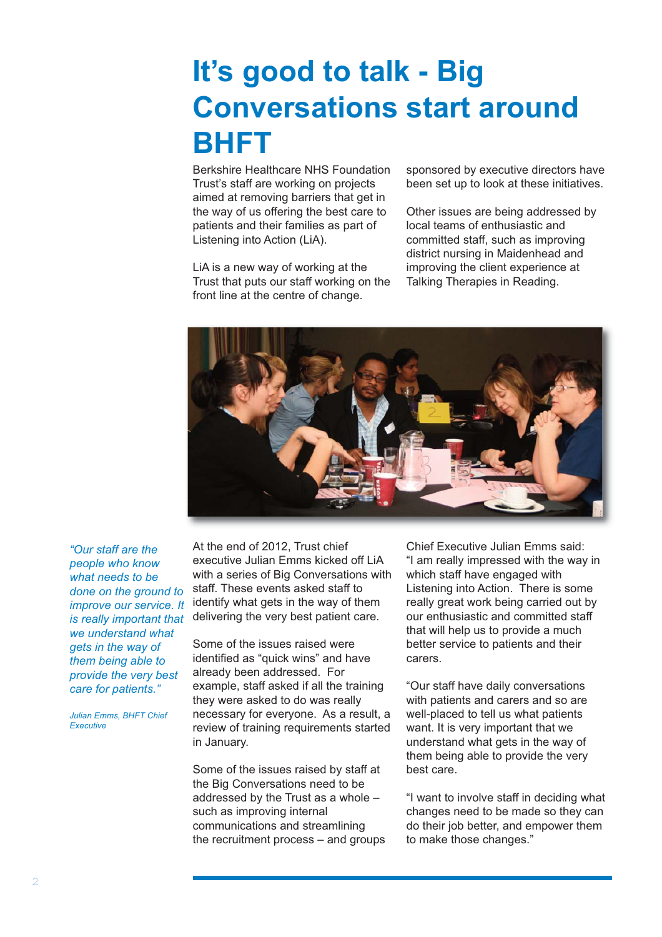## **It's good to talk - Big Conversations start around BHFT**

Berkshire Healthcare NHS Foundation Trust's staff are working on projects aimed at removing barriers that get in the way of us offering the best care to patients and their families as part of Listening into Action (LiA).

LiA is a new way of working at the Trust that puts our staff working on the front line at the centre of change.

sponsored by executive directors have been set up to look at these initiatives.

Other issues are being addressed by local teams of enthusiastic and committed staff, such as improving district nursing in Maidenhead and improving the client experience at Talking Therapies in Reading.



*"Our staff are the people who know what needs to be done on the ground to improve our service. It is really important that we understand what gets in the way of them being able to provide the very best care for patients."*

*Julian Emms, BHFT Chief Executive* 

At the end of 2012, Trust chief executive Julian Emms kicked off LiA with a series of Big Conversations with staff. These events asked staff to identify what gets in the way of them delivering the very best patient care.

Some of the issues raised were identified as "quick wins" and have already been addressed. For example, staff asked if all the training they were asked to do was really necessary for everyone. As a result, a review of training requirements started in January.

Some of the issues raised by staff at the Big Conversations need to be addressed by the Trust as a whole – such as improving internal communications and streamlining the recruitment process – and groups Chief Executive Julian Emms said: "I am really impressed with the way in which staff have engaged with Listening into Action. There is some really great work being carried out by our enthusiastic and committed staff that will help us to provide a much better service to patients and their carers.

"Our staff have daily conversations with patients and carers and so are well-placed to tell us what patients want. It is very important that we understand what gets in the way of them being able to provide the very best care.

"I want to involve staff in deciding what changes need to be made so they can do their job better, and empower them to make those changes."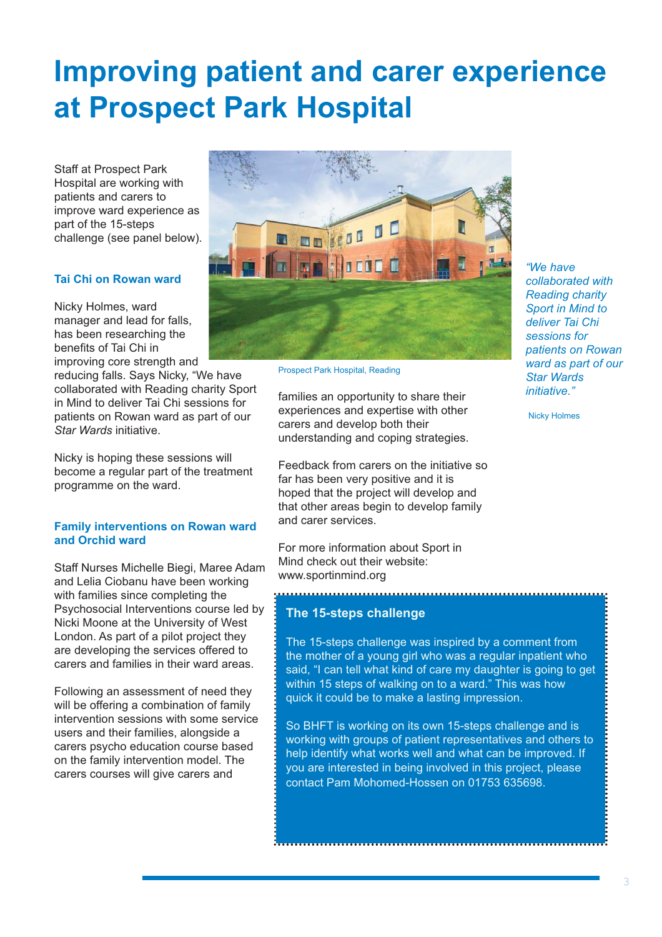## **Improving patient and carer experience at Prospect Park Hospital**

Staff at Prospect Park Hospital are working with patients and carers to improve ward experience as part of the 15-steps challenge (see panel below).

#### **Tai Chi on Rowan ward**

Nicky Holmes, ward manager and lead for falls, has been researching the benefits of Tai Chi in improving core strength and

reducing falls. Says Nicky, "We have collaborated with Reading charity Sport in Mind to deliver Tai Chi sessions for patients on Rowan ward as part of our *Star Wards* initiative.

Nicky is hoping these sessions will become a regular part of the treatment programme on the ward.

#### **Family interventions on Rowan ward and Orchid ward**

Staff Nurses Michelle Biegi, Maree Adam and Lelia Ciobanu have been working with families since completing the Psychosocial Interventions course led by Nicki Moone at the University of West London. As part of a pilot project they are developing the services offered to carers and families in their ward areas.

Following an assessment of need they will be offering a combination of family intervention sessions with some service users and their families, alongside a carers psycho education course based on the family intervention model. The carers courses will give carers and



Prospect Park Hospital, Reading

families an opportunity to share their experiences and expertise with other carers and develop both their understanding and coping strategies.

Feedback from carers on the initiative so far has been very positive and it is hoped that the project will develop and that other areas begin to develop family and carer services.

For more information about Sport in Mind check out their website: www.sportinmind.org

### **The 15-steps challenge**

The 15-steps challenge was inspired by a comment from the mother of a young girl who was a regular inpatient who said, "I can tell what kind of care my daughter is going to get within 15 steps of walking on to a ward." This was how quick it could be to make a lasting impression.

So BHFT is working on its own 15-steps challenge and is working with groups of patient representatives and others to help identify what works well and what can be improved. If you are interested in being involved in this project, please contact Pam Mohomed-Hossen on 01753 635698.

*"We have collaborated with Reading charity Sport in Mind to deliver Tai Chi sessions for patients on Rowan ward as part of our Star Wards initiative."*

Nicky Holmes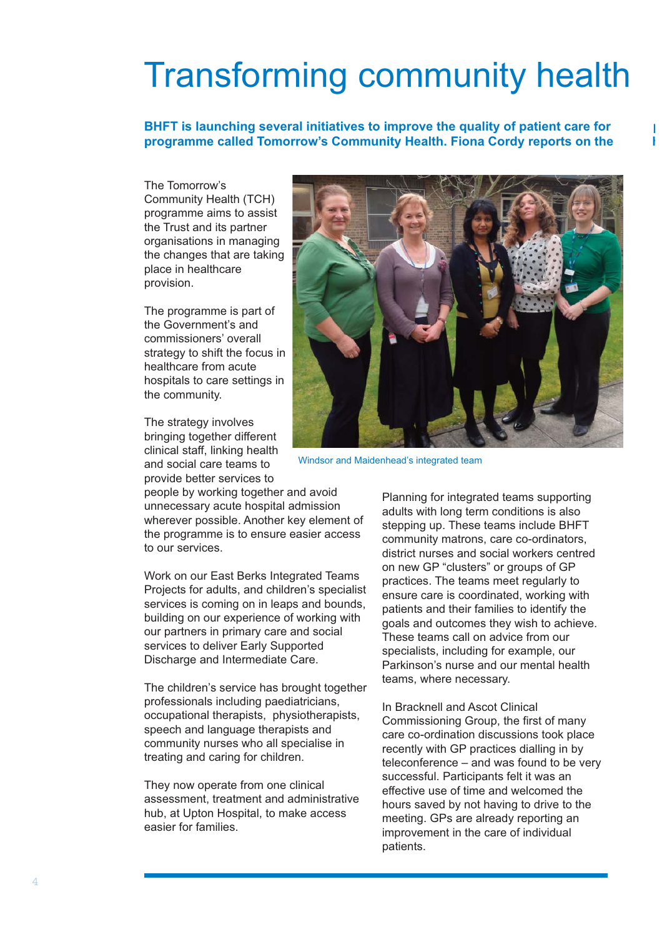# Transforming community health

**BHFT** is launching several initiatives to improve the quality of patient care for **programme called Tomorrow's Community Health. Fiona Cordy reports on the h**

The Tomorrow's Community Health (TCH) programme aims to assist the Trust and its partner organisations in managing the changes that are taking place in healthcare provision.

The programme is part of the Government's and commissioners' overall strategy to shift the focus in healthcare from acute hospitals to care settings in the community.

The strategy involves bringing together different clinical staff, linking health and social care teams to provide better services to



Windsor and Maidenhead's integrated team

people by working together and avoid unnecessary acute hospital admission wherever possible. Another key element of the programme is to ensure easier access to our services.

Work on our East Berks Integrated Teams Projects for adults, and children's specialist services is coming on in leaps and bounds, building on our experience of working with our partners in primary care and social services to deliver Early Supported Discharge and Intermediate Care.

The children's service has brought together professionals including paediatricians, occupational therapists, physiotherapists, speech and language therapists and community nurses who all specialise in treating and caring for children.

They now operate from one clinical assessment, treatment and administrative hub, at Upton Hospital, to make access easier for families.

Planning for integrated teams supporting adults with long term conditions is also stepping up. These teams include BHFT community matrons, care co-ordinators, district nurses and social workers centred on new GP "clusters" or groups of GP practices. The teams meet regularly to ensure care is coordinated, working with patients and their families to identify the goals and outcomes they wish to achieve. These teams call on advice from our specialists, including for example, our Parkinson's nurse and our mental health teams, where necessary.

In Bracknell and Ascot Clinical Commissioning Group, the first of many care co-ordination discussions took place recently with GP practices dialling in by teleconference – and was found to be very successful. Participants felt it was an effective use of time and welcomed the hours saved by not having to drive to the meeting. GPs are already reporting an improvement in the care of individual patients.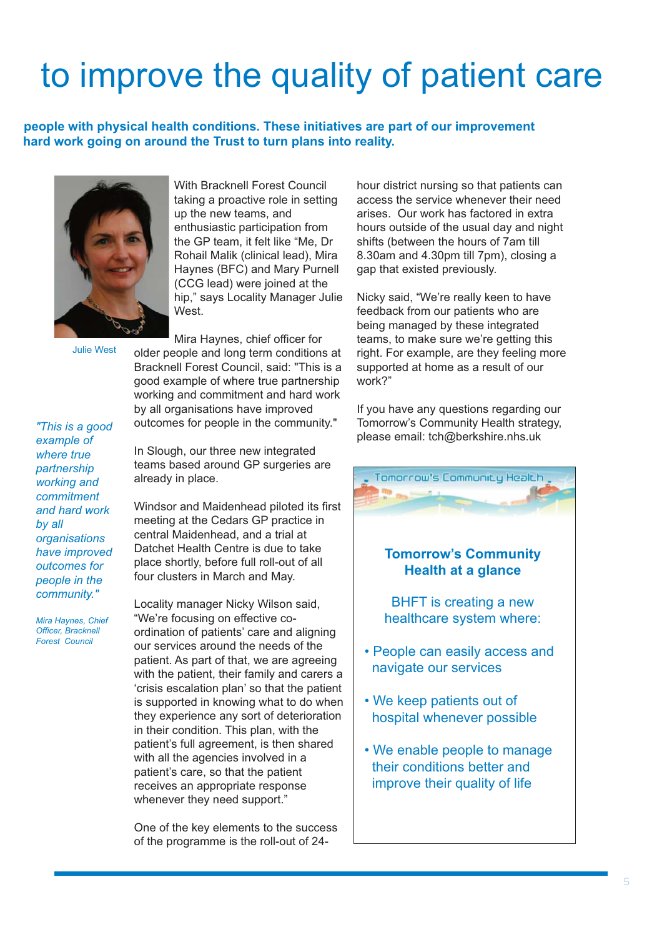# to improve the quality of patient care

 **people with physical health conditions. These initiatives are part of our improvement hard work going on around the Trust to turn plans into reality.**



With Bracknell Forest Council taking a proactive role in setting up the new teams, and enthusiastic participation from the GP team, it felt like "Me, Dr Rohail Malik (clinical lead), Mira Haynes (BFC) and Mary Purnell (CCG lead) were joined at the hip," says Locality Manager Julie West.

Julie West

Mira Haynes, chief officer for older people and long term conditions at Bracknell Forest Council, said: "This is a good example of where true partnership working and commitment and hard work by all organisations have improved outcomes for people in the community."

*"This is a good example of where true partnership working and commitment and hard work by all organisations have improved outcomes for people in the community."*

*Mira Haynes, Chief Officer, Bracknell Forest Council*

In Slough, our three new integrated teams based around GP surgeries are already in place.

Windsor and Maidenhead piloted its first meeting at the Cedars GP practice in central Maidenhead, and a trial at Datchet Health Centre is due to take place shortly, before full roll-out of all four clusters in March and May.

Locality manager Nicky Wilson said, "We're focusing on effective coordination of patients' care and aligning our services around the needs of the patient. As part of that, we are agreeing with the patient, their family and carers a 'crisis escalation plan' so that the patient is supported in knowing what to do when they experience any sort of deterioration in their condition. This plan, with the patient's full agreement, is then shared with all the agencies involved in a patient's care, so that the patient receives an appropriate response whenever they need support."

One of the key elements to the success of the programme is the roll-out of 24hour district nursing so that patients can access the service whenever their need arises. Our work has factored in extra hours outside of the usual day and night shifts (between the hours of 7am till 8.30am and 4.30pm till 7pm), closing a gap that existed previously.

Nicky said, "We're really keen to have feedback from our patients who are being managed by these integrated teams, to make sure we're getting this right. For example, are they feeling more supported at home as a result of our work?"

If you have any questions regarding our Tomorrow's Community Health strategy, please email: tch@berkshire.nhs.uk



### **Tomorrow's Community Health at a glance**

BHFT is creating a new healthcare system where:

- People can easily access and navigate our services
- We keep patients out of hospital whenever possible
- We enable people to manage their conditions better and improve their quality of life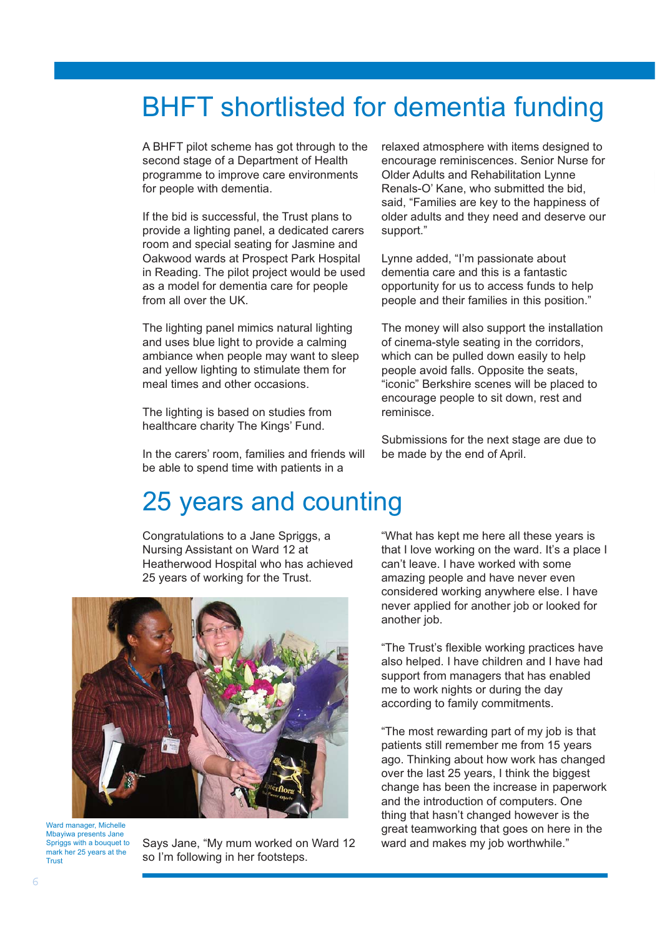### BHFT shortlisted for dementia funding

A BHFT pilot scheme has got through to the second stage of a Department of Health programme to improve care environments for people with dementia.

If the bid is successful, the Trust plans to provide a lighting panel, a dedicated carers room and special seating for Jasmine and Oakwood wards at Prospect Park Hospital in Reading. The pilot project would be used as a model for dementia care for people from all over the UK.

The lighting panel mimics natural lighting and uses blue light to provide a calming ambiance when people may want to sleep and yellow lighting to stimulate them for meal times and other occasions.

The lighting is based on studies from healthcare charity The Kings' Fund.

In the carers' room, families and friends will be able to spend time with patients in a

### 25 years and counting

Congratulations to a Jane Spriggs, a Nursing Assistant on Ward 12 at Heatherwood Hospital who has achieved 25 years of working for the Trust.



Ward manager, Michelle Mbayiwa presents Jane Spriggs with a bouquet to mark her 25 years at the Trust

Says Jane, "My mum worked on Ward 12 so I'm following in her footsteps.

relaxed atmosphere with items designed to encourage reminiscences. Senior Nurse for Older Adults and Rehabilitation Lynne Renals-O' Kane, who submitted the bid, said, "Families are key to the happiness of older adults and they need and deserve our support."

Lynne added, "I'm passionate about dementia care and this is a fantastic opportunity for us to access funds to help people and their families in this position."

The money will also support the installation of cinema-style seating in the corridors, which can be pulled down easily to help people avoid falls. Opposite the seats, "iconic" Berkshire scenes will be placed to encourage people to sit down, rest and reminisce.

Submissions for the next stage are due to be made by the end of April.

"What has kept me here all these years is that I love working on the ward. It's a place I can't leave. I have worked with some amazing people and have never even considered working anywhere else. I have never applied for another job or looked for another job.

"The Trust's flexible working practices have also helped. I have children and I have had support from managers that has enabled me to work nights or during the day according to family commitments.

"The most rewarding part of my job is that patients still remember me from 15 years ago. Thinking about how work has changed over the last 25 years, I think the biggest change has been the increase in paperwork and the introduction of computers. One thing that hasn't changed however is the great teamworking that goes on here in the ward and makes my job worthwhile."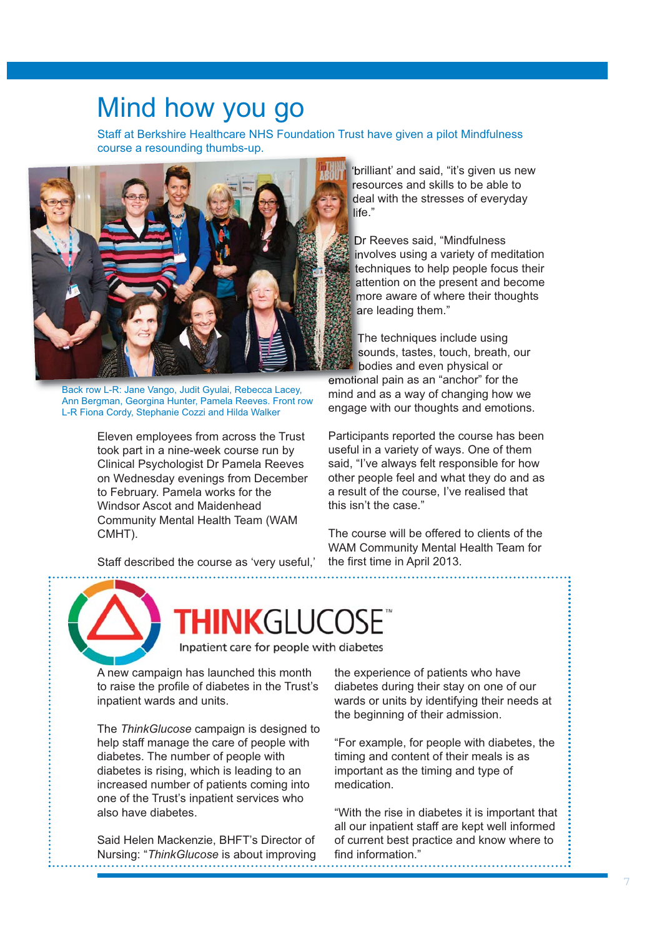## Mind how you go

Staff at Berkshire Healthcare NHS Foundation Trust have given a pilot Mindfulness course a resounding thumbs-up.



Back row L-R: Jane Vango, Judit Gyulai, Rebecca Lacey, Ann Bergman, Georgina Hunter, Pamela Reeves. Front row L-R Fiona Cordy, Stephanie Cozzi and Hilda Walker

Eleven employees from across the Trust took part in a nine-week course run by Clinical Psychologist Dr Pamela Reeves on Wednesday evenings from December to February. Pamela works for the Windsor Ascot and Maidenhead Community Mental Health Team (WAM CMHT).

'brilliant' and said, "it's given us new resources and skills to be able to deal with the stresses of everyday life."

Dr Reeves said, "Mindfulness involves using a variety of meditation techniques to help people focus their attention on the present and become more aware of where their thoughts are leading them."

The techniques include using sounds, tastes, touch, breath, our bodies and even physical or

emotional pain as an "anchor" for the mind and as a way of changing how we engage with our thoughts and emotions.

Participants reported the course has been useful in a variety of ways. One of them said, "I've always felt responsible for how other people feel and what they do and as a result of the course, I've realised that this isn't the case."

The course will be offered to clients of the WAM Community Mental Health Team for the first time in April 2013.

Staff described the course as 'very useful,'



## $KGHCT$

Inpatient care for people with diabetes

A new campaign has launched this month to raise the profile of diabetes in the Trust's inpatient wards and units.

The *ThinkGlucose* campaign is designed to help staff manage the care of people with diabetes. The number of people with diabetes is rising, which is leading to an increased number of patients coming into one of the Trust's inpatient services who also have diabetes.

Said Helen Mackenzie, BHFT's Director of Nursing: "*ThinkGlucose* is about improving the experience of patients who have diabetes during their stay on one of our wards or units by identifying their needs at the beginning of their admission.

"For example, for people with diabetes, the timing and content of their meals is as important as the timing and type of medication.

"With the rise in diabetes it is important that all our inpatient staff are kept well informed of current best practice and know where to find information."